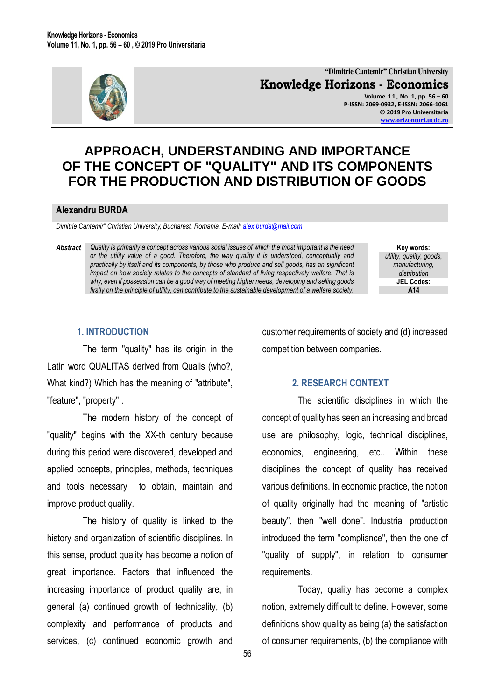

**"Dimitrie Cantemir" Christian University Knowledge Horizons - Economics Volume 1 1 , No. 1, pp. 56 – 60 P-ISSN: 2069-0932, E-ISSN: 2066-1061 © 2019 Pro Universitaria [www.orizonturi.ucdc.ro](http://www.orizonturi.ucdc.ro/)**

# **APPROACH, UNDERSTANDING AND IMPORTANCE OF THE CONCEPT OF "QUALITY" AND ITS COMPONENTS FOR THE PRODUCTION AND DISTRIBUTION OF GOODS**

#### **Alexandru BURDA**

*Dimitrie Cantemir" Christian University, Bucharest, Romania, E-mail: [alex.burda@mail.com](mailto:alex.burda@mail.com)*

Abstract Quality is primarily a concept across various social issues of which the most important is the need *or the utility value of a good. Therefore, the way quality it is understood, conceptually and practically by itself and its components, by those who produce and sell goods, has an significant impact on how society relates to the concepts of standard of living respectively welfare. That is why, even if possession can be a good way of meeting higher needs, developing and selling goods firstly on the principle of utility, can contribute to the sustainable development of a welfare society.*

**Key words:** *utility, quality, goods, manufacturing, distribution* **JEL Codes: A14**

### **1. INTRODUCTION**

The term "quality" has its origin in the Latin word QUALITAS derived from Qualis (who?, What kind?) Which has the meaning of "attribute", "feature", "property" .

The modern history of the concept of "quality" begins with the XX-th century because during this period were discovered, developed and applied concepts, principles, methods, techniques and tools necessary to obtain, maintain and improve product quality.

The history of quality is linked to the history and organization of scientific disciplines. In this sense, product quality has become a notion of great importance. Factors that influenced the increasing importance of product quality are, in general (a) continued growth of technicality, (b) complexity and performance of products and services, (c) continued economic growth and

customer requirements of society and (d) increased competition between companies.

#### **2. RESEARCH CONTEXT**

The scientific disciplines in which the concept of quality has seen an increasing and broad use are philosophy, logic, technical disciplines, economics, engineering, etc.. Within these disciplines the concept of quality has received various definitions. In economic practice, the notion of quality originally had the meaning of "artistic beauty", then "well done". Industrial production introduced the term "compliance", then the one of "quality of supply", in relation to consumer requirements.

Today, quality has become a complex notion, extremely difficult to define. However, some definitions show quality as being (a) the satisfaction of consumer requirements, (b) the compliance with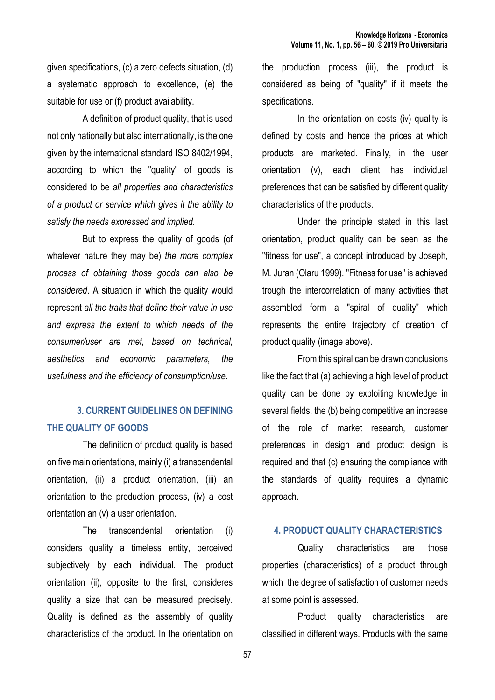given specifications, (c) a zero defects situation, (d) a systematic approach to excellence, (e) the suitable for use or (f) product availability.

A definition of product quality, that is used not only nationally but also internationally, is the one given by the international standard ISO 8402/1994, according to which the "quality" of goods is considered to be *all properties and characteristics of a product or service which gives it the ability to satisfy the needs expressed and implied.*

But to express the quality of goods (of whatever nature they may be) *the more complex process of obtaining those goods can also be considered*. A situation in which the quality would represent *all the traits that define their value in use and express the extent to which needs of the consumer/user are met, based on technical, aesthetics and economic parameters, the usefulness and the efficiency of consumption/use*.

## **3. CURRENT GUIDELINES ON DEFINING THE QUALITY OF GOODS**

The definition of product quality is based on five main orientations, mainly (i) a transcendental orientation, (ii) a product orientation, (iii) an orientation to the production process, (iv) a cost orientation an (v) a user orientation.

The transcendental orientation (i) considers quality a timeless entity, perceived subjectively by each individual. The product orientation (ii), opposite to the first, consideres quality a size that can be measured precisely. Quality is defined as the assembly of quality characteristics of the product. In the orientation on

the production process (iii), the product is considered as being of "quality" if it meets the specifications.

In the orientation on costs (iv) quality is defined by costs and hence the prices at which products are marketed. Finally, in the user orientation (v), each client has individual preferences that can be satisfied by different quality characteristics of the products.

Under the principle stated in this last orientation, product quality can be seen as the "fitness for use", a concept introduced by Joseph, M. Juran (Olaru 1999). "Fitness for use" is achieved trough the intercorrelation of many activities that assembled form a "spiral of quality" which represents the entire trajectory of creation of product quality (image above).

From this spiral can be drawn conclusions like the fact that (a) achieving a high level of product quality can be done by exploiting knowledge in several fields, the (b) being competitive an increase of the role of market research, customer preferences in design and product design is required and that (c) ensuring the compliance with the standards of quality requires a dynamic approach.

#### **4. PRODUCT QUALITY CHARACTERISTICS**

Quality characteristics are those properties (characteristics) of a product through which the degree of satisfaction of customer needs at some point is assessed.

Product quality characteristics are classified in different ways. Products with the same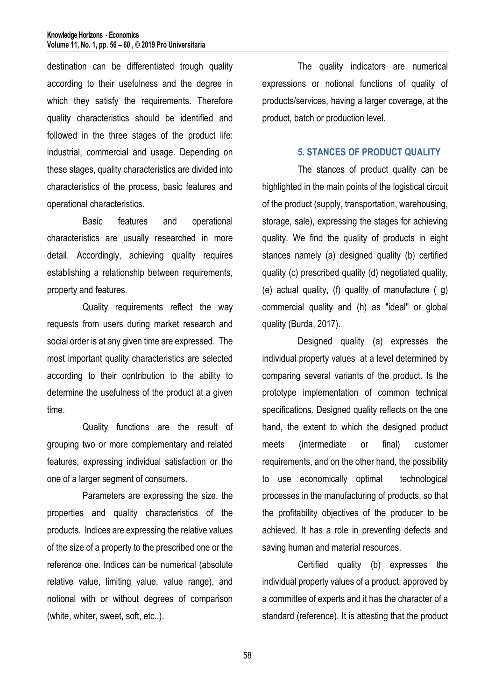destination can be differentiated trough quality according to their usefulness and the degree in which they satisfy the requirements. Therefore quality characteristics should be identified and followed in the three stages of the product life: industrial, commercial and usage. Depending on these stages, quality characteristics are divided into characteristics of the process, basic features and operational characteristics.

Basic features and operational characteristics are usually researched in more detail. Accordingly, achieving quality requires establishing a relationship between requirements, property and features.

Quality requirements reflect the way requests from users during market research and social order is at any given time are expressed. The most important quality characteristics are selected according to their contribution to the ability to determine the usefulness of the product at a given time.

Quality functions are the result of grouping two or more complementary and related features, expressing individual satisfaction or the one of a larger segment of consumers.

Parameters are expressing the size, the properties and quality characteristics of the products. Indices are expressing the relative values of the size of a property to the prescribed one or the reference one. Indices can be numerical (absolute relative value, limiting value, value range), and notional with or without degrees of comparison (white, whiter, sweet, soft, etc..).

The quality indicators are numerical expressions or notional functions of quality of products/services, having a larger coverage, at the product, batch or production level.

#### **5. STANCES OF PRODUCT QUALITY**

The stances of product quality can be highlighted in the main points of the logistical circuit of the product (supply, transportation, warehousing, storage, sale), expressing the stages for achieving quality. We find the quality of products in eight stances namely (a) designed quality (b) certified quality (c) prescribed quality (d) negotiated quality, (e) actual quality, (f) quality of manufacture ( g) commercial quality and (h) as "ideal" or global quality (Burda, 2017).

Designed quality (a) expresses the individual property values at a level determined by comparing several variants of the product. Is the prototype implementation of common technical specifications. Designed quality reflects on the one hand, the extent to which the designed product meets (intermediate or final) customer requirements, and on the other hand, the possibility to use economically optimal technological processes in the manufacturing of products, so that the profitability objectives of the producer to be achieved. It has a role in preventing defects and saving human and material resources.

Certified quality (b) expresses the individual property values of a product, approved by a committee of experts and it has the character of a standard (reference). It is attesting that the product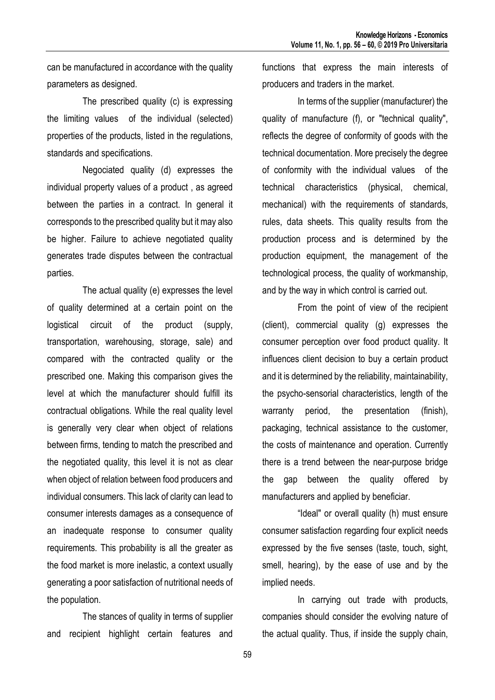can be manufactured in accordance with the quality parameters as designed.

The prescribed quality (c) is expressing the limiting values of the individual (selected) properties of the products, listed in the regulations, standards and specifications.

Negociated quality (d) expresses the individual property values of a product , as agreed between the parties in a contract. In general it corresponds to the prescribed quality but it may also be higher. Failure to achieve negotiated quality generates trade disputes between the contractual parties.

The actual quality (e) expresses the level of quality determined at a certain point on the logistical circuit of the product (supply, transportation, warehousing, storage, sale) and compared with the contracted quality or the prescribed one. Making this comparison gives the level at which the manufacturer should fulfill its contractual obligations. While the real quality level is generally very clear when object of relations between firms, tending to match the prescribed and the negotiated quality, this level it is not as clear when object of relation between food producers and individual consumers. This lack of clarity can lead to consumer interests damages as a consequence of an inadequate response to consumer quality requirements. This probability is all the greater as the food market is more inelastic, a context usually generating a poor satisfaction of nutritional needs of the population.

The stances of quality in terms of supplier and recipient highlight certain features and

functions that express the main interests of producers and traders in the market.

In terms of the supplier (manufacturer) the quality of manufacture (f), or "technical quality", reflects the degree of conformity of goods with the technical documentation. More precisely the degree of conformity with the individual values of the technical characteristics (physical, chemical, mechanical) with the requirements of standards, rules, data sheets. This quality results from the production process and is determined by the production equipment, the management of the technological process, the quality of workmanship, and by the way in which control is carried out.

From the point of view of the recipient (client), commercial quality (g) expresses the consumer perception over food product quality. It influences client decision to buy a certain product and it is determined by the reliability, maintainability, the psycho-sensorial characteristics, length of the warranty period, the presentation (finish), packaging, technical assistance to the customer, the costs of maintenance and operation. Currently there is a trend between the near-purpose bridge the gap between the quality offered by manufacturers and applied by beneficiar.

"Ideal" or overall quality (h) must ensure consumer satisfaction regarding four explicit needs expressed by the five senses (taste, touch, sight, smell, hearing), by the ease of use and by the implied needs.

In carrying out trade with products, companies should consider the evolving nature of the actual quality. Thus, if inside the supply chain,